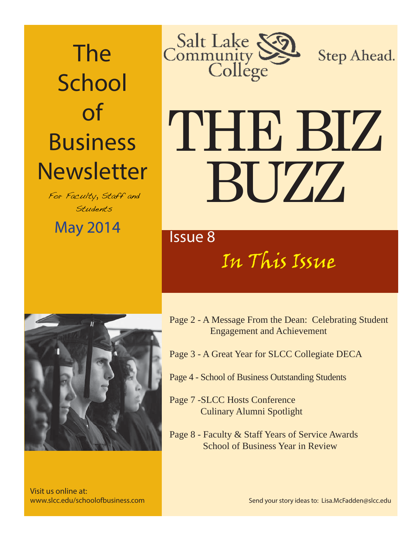The School of Business **Newsletter** 

For Faculty, Staff and Students

May 2014 May 2014



Step Ahead.

# THE BIZ BUZZ

In This Issue



Visit us online at: www.slcc.edu/schoolofbusiness.com

- Page 2 A Message From the Dean: Celebrating Student Engagement and Achievement
- Page 3 A Great Year for SLCC Collegiate DECA
- Page 4 School of Business Outstanding Students
- Page 7 -SLCC Hosts Conference Culinary Alumni Spotlight
- Page 8 Faculty & Staff Years of Service Awards School of Business Year in Review

Send your story ideas to: Lisa.McFadden@slcc.edu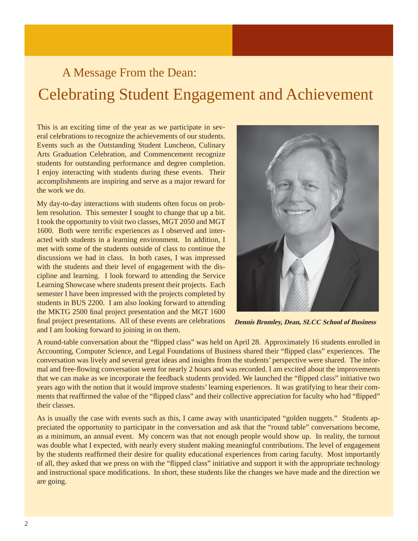# A Message From the Dean: Celebrating Student Engagement and Achievement

This is an exciting time of the year as we participate in several celebrations to recognize the achievements of our students. Events such as the Outstanding Student Luncheon, Culinary Arts Graduation Celebration, and Commencement recognize students for outstanding performance and degree completion. I enjoy interacting with students during these events. Their accomplishments are inspiring and serve as a major reward for the work we do.

My day-to-day interactions with students often focus on problem resolution. This semester I sought to change that up a bit. I took the opportunity to visit two classes, MGT 2050 and MGT 1600. Both were terrific experiences as I observed and interacted with students in a learning environment. In addition, I met with some of the students outside of class to continue the discussions we had in class. In both cases, I was impressed with the students and their level of engagement with the discipline and learning. I look forward to attending the Service Learning Showcase where students present their projects. Each semester I have been impressed with the projects completed by students in BUS 2200. I am also looking forward to attending the MKTG 2500 final project presentation and the MGT 1600 final project presentations. All of these events are celebrations and I am looking forward to joining in on them.



**Dennis Bromley, Dean, SLCC School of Business**

A round-table conversation about the "flipped class" was held on April 28. Approximately 16 students enrolled in Accounting, Computer Science, and Legal Foundations of Business shared their "flipped class" experiences. The conversation was lively and several great ideas and insights from the students' perspective were shared. The informal and free-flowing conversation went for nearly 2 hours and was recorded. I am excited about the improvements that we can make as we incorporate the feedback students provided. We launched the "flipped class" initiative two years ago with the notion that it would improve students' learning experiences. It was gratifying to hear their comments that reaffirmed the value of the "flipped class" and their collective appreciation for faculty who had "flipped" their classes.

As is usually the case with events such as this, I came away with unanticipated "golden nuggets." Students appreciated the opportunity to participate in the conversation and ask that the "round table" conversations become, as a minimum, an annual event. My concern was that not enough people would show up. In reality, the turnout was double what I expected, with nearly every student making meaningful contributions. The level of engagement by the students reaffirmed their desire for quality educational experiences from caring faculty. Most importantly of all, they asked that we press on with the "flipped class" initiative and support it with the appropriate technology and instructional space modifications. In short, these students like the changes we have made and the direction we are going.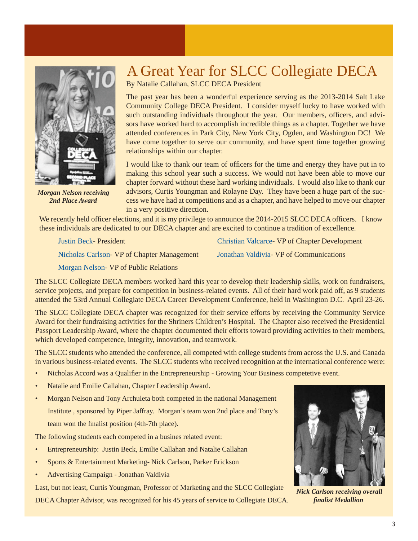

*Morgan Nelson receiving 2nd Place Award*

### A Great Year for SLCC Collegiate DECA

By Natalie Callahan, SLCC DECA President

The past year has been a wonderful experience serving as the 2013-2014 Salt Lake Community College DECA President. I consider myself lucky to have worked with such outstanding individuals throughout the year. Our members, officers, and advisors have worked hard to accomplish incredible things as a chapter. Together we have attended conferences in Park City, New York City, Ogden, and Washington DC! We have come together to serve our community, and have spent time together growing relationships within our chapter.

I would like to thank our team of officers for the time and energy they have put in to making this school year such a success. We would not have been able to move our chapter forward without these hard working individuals. I would also like to thank our advisors, Curtis Youngman and Rolayne Day. They have been a huge part of the success we have had at competitions and as a chapter, and have helped to move our chapter in a very positive direction.

We recently held officer elections, and it is my privilege to announce the 2014-2015 SLCC DECA officers. I know these individuals are dedicated to our DECA chapter and are excited to continue a tradition of excellence.

Justin Beck- President Christian Valcarce- VP of Chapter Development

Nicholas Carlson- VP of Chapter Management Jonathan Valdivia- VP of Communications

Morgan Nelson- VP of Public Relations

The SLCC Collegiate DECA members worked hard this year to develop their leadership skills, work on fundraisers, service projects, and prepare for competition in business-related events. All of their hard work paid off, as 9 students attended the 53rd Annual Collegiate DECA Career Development Conference, held in Washington D.C. April 23-26.

The SLCC Collegiate DECA chapter was recognized for their service efforts by receiving the Community Service Award for their fundraising activities for the Shriners Children's Hospital. The Chapter also received the Presidential Passport Leadership Award, where the chapter documented their efforts toward providing activities to their members, which developed competence, integrity, innovation, and teamwork.

The SLCC students who attended the conference, all competed with college students from across the U.S. and Canada in various business-related events. The SLCC students who received recognition at the international conference were:

- Nicholas Accord was a Qualifier in the Entrepreneurship Growing Your Business competetive event.
- Natalie and Emilie Callahan, Chapter Leadership Award.
- Morgan Nelson and Tony Archuleta both competed in the national Management Institute , sponsored by Piper Jaffray. Morgan's team won 2nd place and Tony's team won the finalist position (4th-7th place).

The following students each competed in a busines related event:

- Entrepreneurship: Justin Beck, Emilie Callahan and Natalie Callahan
- Sports & Entertainment Marketing- Nick Carlson, Parker Erickson
- Advertising Campaign Jonathan Valdivia

Last, but not least, Curtis Youngman, Professor of Marketing and the SLCC Collegiate

DECA Chapter Advisor, was recognized for his 45 years of service to Collegiate DECA.



*Nick Carlson receiving overall fi nalist Medallion*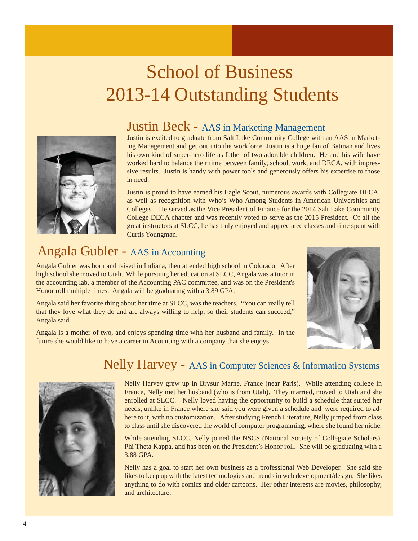# School of Business 2013-14 Outstanding Students



#### Justin Beck - AAS in Marketing Management

Justin is excited to graduate from Salt Lake Community College with an AAS in Marketing Management and get out into the workforce. Justin is a huge fan of Batman and lives his own kind of super-hero life as father of two adorable children. He and his wife have worked hard to balance their time between family, school, work, and DECA, with impressive results. Justin is handy with power tools and generously offers his expertise to those in need.

Justin is proud to have earned his Eagle Scout, numerous awards with Collegiate DECA, as well as recognition with Who's Who Among Students in American Universities and Colleges. He served as the Vice President of Finance for the 2014 Salt Lake Community College DECA chapter and was recently voted to serve as the 2015 President. Of all the great instructors at SLCC, he has truly enjoyed and appreciated classes and time spent with Curtis Youngman.

#### Angala Gubler - AAS in Accounting

Angala Gubler was born and raised in Indiana, then attended high school in Colorado. After high school she moved to Utah. While pursuing her education at SLCC, Angala was a tutor in the accounting lab, a member of the Accounting PAC committee, and was on the President's Honor roll multiple times. Angala will be graduating with a 3.89 GPA.

Angala said her favorite thing about her time at SLCC, was the teachers. "You can really tell that they love what they do and are always willing to help, so their students can succeed," Angala said.

Angala is a mother of two, and enjoys spending time with her husband and family. In the future she would like to have a career in Acounting with a company that she enjoys.



#### Nelly Harvey - AAS in Computer Sciences & Information Systems



Nelly Harvey grew up in Brysur Marne, France (near Paris). While attending college in France, Nelly met her husband (who is from Utah). They married, moved to Utah and she enrolled at SLCC. Nelly loved having the opportunity to build a schedule that suited her needs, unlike in France where she said you were given a schedule and were required to adhere to it, with no customization. After studying French Literature, Nelly jumped from class to class until she discovered the world of computer programming, where she found her niche.

While attending SLCC, Nelly joined the NSCS (National Society of Collegiate Scholars), Phi Theta Kappa, and has been on the President's Honor roll. She will be graduating with a 3.88 GPA.

Nelly has a goal to start her own business as a professional Web Developer. She said she likes to keep up with the latest technologies and trends in web development/design. She likes anything to do with comics and older cartoons. Her other interests are movies, philosophy, and architecture.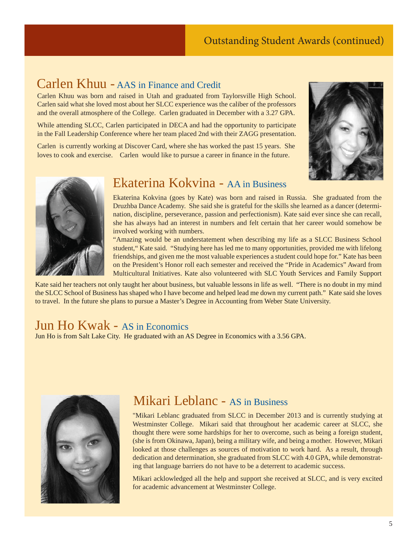#### Outstanding Student Awards (continued)

#### Carlen Khuu - AAS in Finance and Credit

Carlen Khuu was born and raised in Utah and graduated from Taylorsville High School. Carlen said what she loved most about her SLCC experience was the caliber of the professors and the overall atmosphere of the College. Carlen graduated in December with a 3.27 GPA.

While attending SLCC, Carlen participated in DECA and had the opportunity to participate in the Fall Leadership Conference where her team placed 2nd with their ZAGG presentation.

Carlen is currently working at Discover Card, where she has worked the past 15 years. She loves to cook and exercise. Carlen would like to pursue a career in finance in the future.





#### Ekaterina Kokvina - AA in Business

Ekaterina Kokvina (goes by Kate) was born and raised in Russia. She graduated from the Druzhba Dance Academy. She said she is grateful for the skills she learned as a dancer (determination, discipline, perseverance, passion and perfectionism). Kate said ever since she can recall, she has always had an interest in numbers and felt certain that her career would somehow be involved working with numbers.

"Amazing would be an understatement when describing my life as a SLCC Business School student," Kate said. "Studying here has led me to many opportunities, provided me with lifelong friendships, and given me the most valuable experiences a student could hope for." Kate has been on the President's Honor roll each semester and received the "Pride in Academics" Award from Multicultural Initiatives. Kate also volunteered with SLC Youth Services and Family Support

Kate said her teachers not only taught her about business, but valuable lessons in life as well. "There is no doubt in my mind the SLCC School of Business has shaped who I have become and helped lead me down my current path." Kate said she loves to travel. In the future she plans to pursue a Master's Degree in Accounting from Weber State University.

#### Jun Ho Kwak - AS in Economics

Jun Ho is from Salt Lake City. He graduated with an AS Degree in Economics with a 3.56 GPA.



#### Mikari Leblanc - AS in Business

"Mikari Leblanc graduated from SLCC in December 2013 and is currently studying at Westminster College. Mikari said that throughout her academic career at SLCC, she thought there were some hardships for her to overcome, such as being a foreign student, (she is from Okinawa, Japan), being a military wife, and being a mother. However, Mikari looked at those challenges as sources of motivation to work hard. As a result, through dedication and determination, she graduated from SLCC with 4.0 GPA, while demonstrating that language barriers do not have to be a deterrent to academic success.

Mikari acklowledged all the help and support she received at SLCC, and is very excited for academic advancement at Westminster College.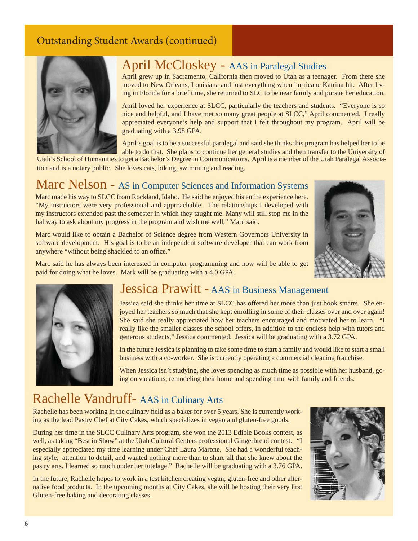#### Outstanding Student Awards (continued)



#### April McCloskey - AAS in Paralegal Studies

April grew up in Sacramento, California then moved to Utah as a teenager. From there she moved to New Orleans, Louisiana and lost everything when hurricane Katrina hit. After living in Florida for a brief time, she returned to SLC to be near family and pursue her education.

April loved her experience at SLCC, particularly the teachers and students. "Everyone is so nice and helpful, and I have met so many great people at SLCC," April commented. I really appreciated everyone's help and support that I felt throughout my program. April will be graduating with a 3.98 GPA.

April's goal is to be a successful paralegal and said she thinks this program has helped her to be able to do that. She plans to continue her general studies and then transfer to the University of

Utah's School of Humanities to get a Bachelor's Degree in Communications. April is a member of the Utah Paralegal Association and is a notary public. She loves cats, biking, swimming and reading.

## Marc Nelson - AS in Computer Sciences and Information Systems

Marc made his way to SLCC from Rockland, Idaho. He said he enjoyed his entire experience here. "My instructors were very professional and approachable. The relationships I developed with my instructors extended past the semester in which they taught me. Many will still stop me in the hallway to ask about my progress in the program and wish me well," Marc said.

Marc would like to obtain a Bachelor of Science degree from Western Governors University in software development. His goal is to be an independent software developer that can work from anywhere "without being shackled to an office."



Marc said he has always been interested in computer programming and now will be able to get paid for doing what he loves. Mark will be graduating with a 4.0 GPA.



#### Jessica Prawitt - AAS in Business Management

Jessica said she thinks her time at SLCC has offered her more than just book smarts. She enjoyed her teachers so much that she kept enrolling in some of their classes over and over again! She said she really appreciated how her teachers encouraged and motivated her to learn. "I really like the smaller classes the school offers, in addition to the endless help with tutors and generous students," Jessica commented. Jessica will be graduating with a 3.72 GPA.

In the future Jessica is planning to take some time to start a family and would like to start a small business with a co-worker. She is currently operating a commercial cleaning franchise.

When Jessica isn't studying, she loves spending as much time as possible with her husband, going on vacations, remodeling their home and spending time with family and friends.

#### Rachelle Vandruff- AAS in Culinary Arts

Rachelle has been working in the culinary field as a baker for over 5 years. She is currently working as the lead Pastry Chef at City Cakes, which specializes in vegan and gluten-free goods.

During her time in the SLCC Culinary Arts program, she won the 2013 Edible Books contest, as well, as taking "Best in Show" at the Utah Cultural Centers professional Gingerbread contest. "I especially appreciated my time learning under Chef Laura Marone. She had a wonderful teaching style, attention to detail, and wanted nothing more than to share all that she knew about the pastry arts. I learned so much under her tutelage." Rachelle will be graduating with a 3.76 GPA.

In the future, Rachelle hopes to work in a test kitchen creating vegan, gluten-free and other alternative food products. In the upcoming months at City Cakes, she will be hosting their very first Gluten-free baking and decorating classes.

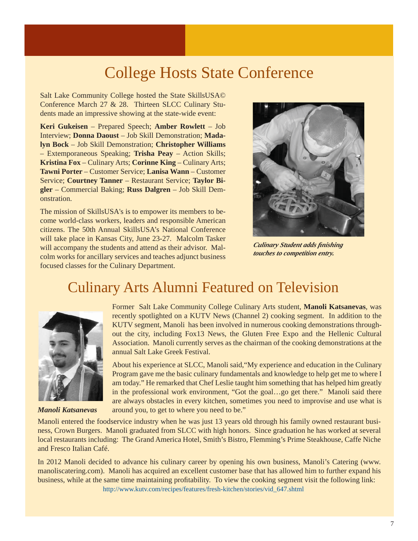# College Hosts State Conference

Salt Lake Community College hosted the State SkillsUSA© Conference March 27 & 28. Thirteen SLCC Culinary Students made an impressive showing at the state-wide event:

**Keri Gukeisen** – Prepared Speech; **Amber Rowlett** – Job Interview; **Donna Daoust** – Job Skill Demonstration; **Madalyn Bock** – Job Skill Demonstration; **Christopher Williams** – Extemporaneous Speaking; **Trisha Peay** – Action Skills; **Kristina Fox** – Culinary Arts; **Corinne King** – Culinary Arts; **Tawni Porter** – Customer Service; **Lanisa Wann** – Customer Service; **Courtney Tanner** – Restaurant Service; **Taylor Bigler** – Commercial Baking; **Russ Dalgren** – Job Skill Demonstration.

The mission of SkillsUSA's is to empower its members to become world-class workers, leaders and responsible American citizens. The 50th Annual SkillsUSA's National Conference will take place in Kansas City, June 23-27. Malcolm Tasker will accompany the students and attend as their advisor. Malcolm works for ancillary services and teaches adjunct business focused classes for the Culinary Department.



*Culinary Student adds fi nishing touches to competition entry.*

### Culinary Arts Alumni Featured on Television



*Manoli Katsanevas*

Former Salt Lake Community College Culinary Arts student, **Manoli Katsanevas**, was recently spotlighted on a KUTV News (Channel 2) cooking segment. In addition to the KUTV segment, Manoli has been involved in numerous cooking demonstrations throughout the city, including Fox13 News, the Gluten Free Expo and the Hellenic Cultural Association. Manoli currently serves as the chairman of the cooking demonstrations at the annual Salt Lake Greek Festival.

About his experience at SLCC, Manoli said,"My experience and education in the Culinary Program gave me the basic culinary fundamentals and knowledge to help get me to where I am today." He remarked that Chef Leslie taught him something that has helped him greatly in the professional work environment, "Got the goal…go get there." Manoli said there are always obstacles in every kitchen, sometimes you need to improvise and use what is around you, to get to where you need to be."

Manoli entered the foodservice industry when he was just 13 years old through his family owned restaurant business, Crown Burgers. Manoli graduated from SLCC with high honors. Since graduation he has worked at several local restaurants including: The Grand America Hotel, Smith's Bistro, Flemming's Prime Steakhouse, Caffe Niche and Fresco Italian Café.

In 2012 Manoli decided to advance his culinary career by opening his own business, Manoli's Catering (www. manoliscatering.com). Manoli has acquired an excellent customer base that has allowed him to further expand his business, while at the same time maintaining profitability. To view the cooking segment visit the following link:

http://www.kutv.com/recipes/features/fresh-kitchen/stories/vid\_647.shtml